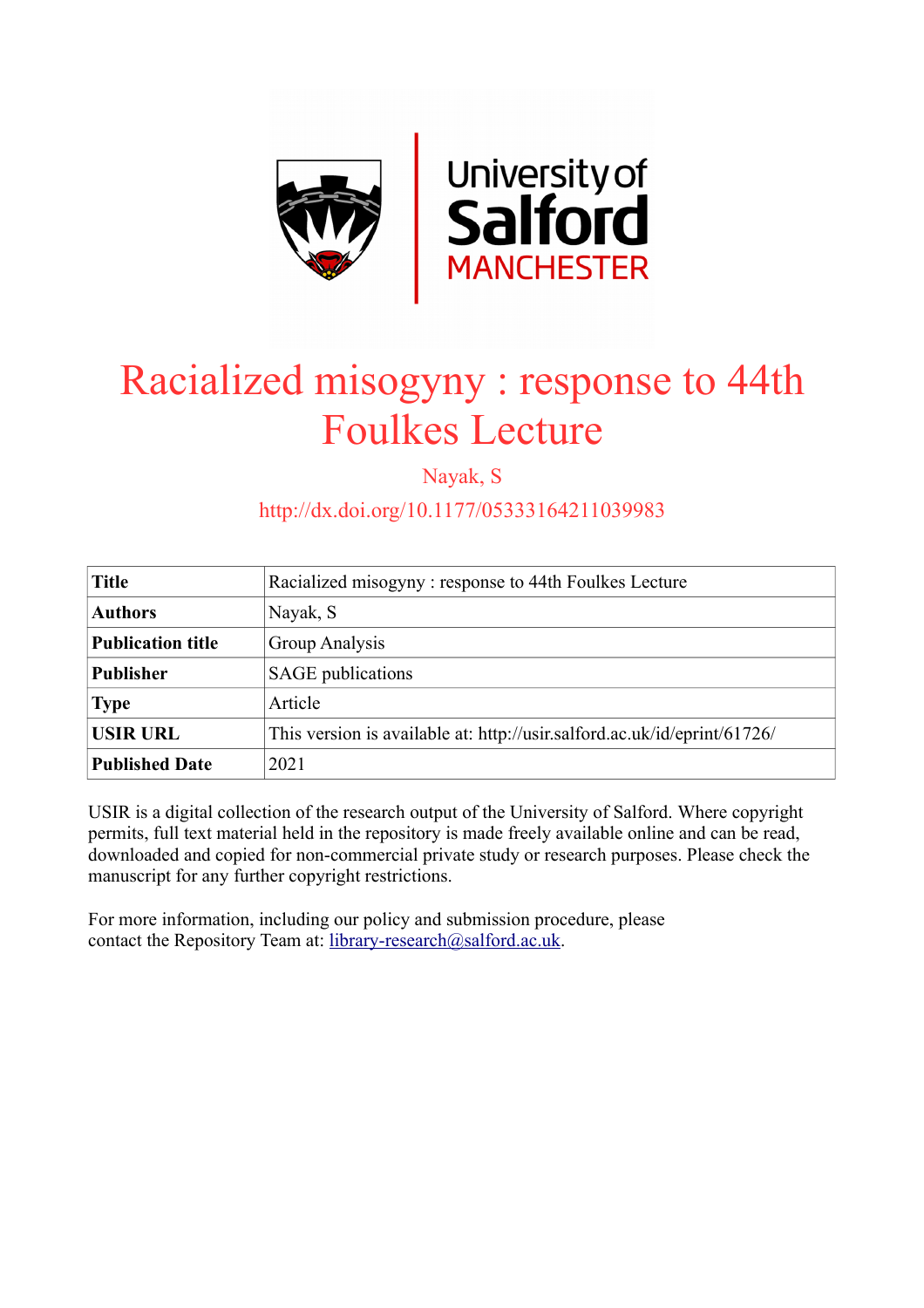

# Racialized misogyny : response to 44th Foulkes Lecture

Nayak, S

http://dx.doi.org/10.1177/05333164211039983

| <b>Title</b>             | Racialized misogyny: response to 44th Foulkes Lecture                    |
|--------------------------|--------------------------------------------------------------------------|
| <b>Authors</b>           | Nayak, S                                                                 |
| <b>Publication title</b> | Group Analysis                                                           |
| <b>Publisher</b>         | <b>SAGE</b> publications                                                 |
| <b>Type</b>              | Article                                                                  |
| <b>USIR URL</b>          | This version is available at: http://usir.salford.ac.uk/id/eprint/61726/ |
| <b>Published Date</b>    | 2021                                                                     |

USIR is a digital collection of the research output of the University of Salford. Where copyright permits, full text material held in the repository is made freely available online and can be read, downloaded and copied for non-commercial private study or research purposes. Please check the manuscript for any further copyright restrictions.

For more information, including our policy and submission procedure, please contact the Repository Team at: [library-research@salford.ac.uk.](mailto:library-research@salford.ac.uk)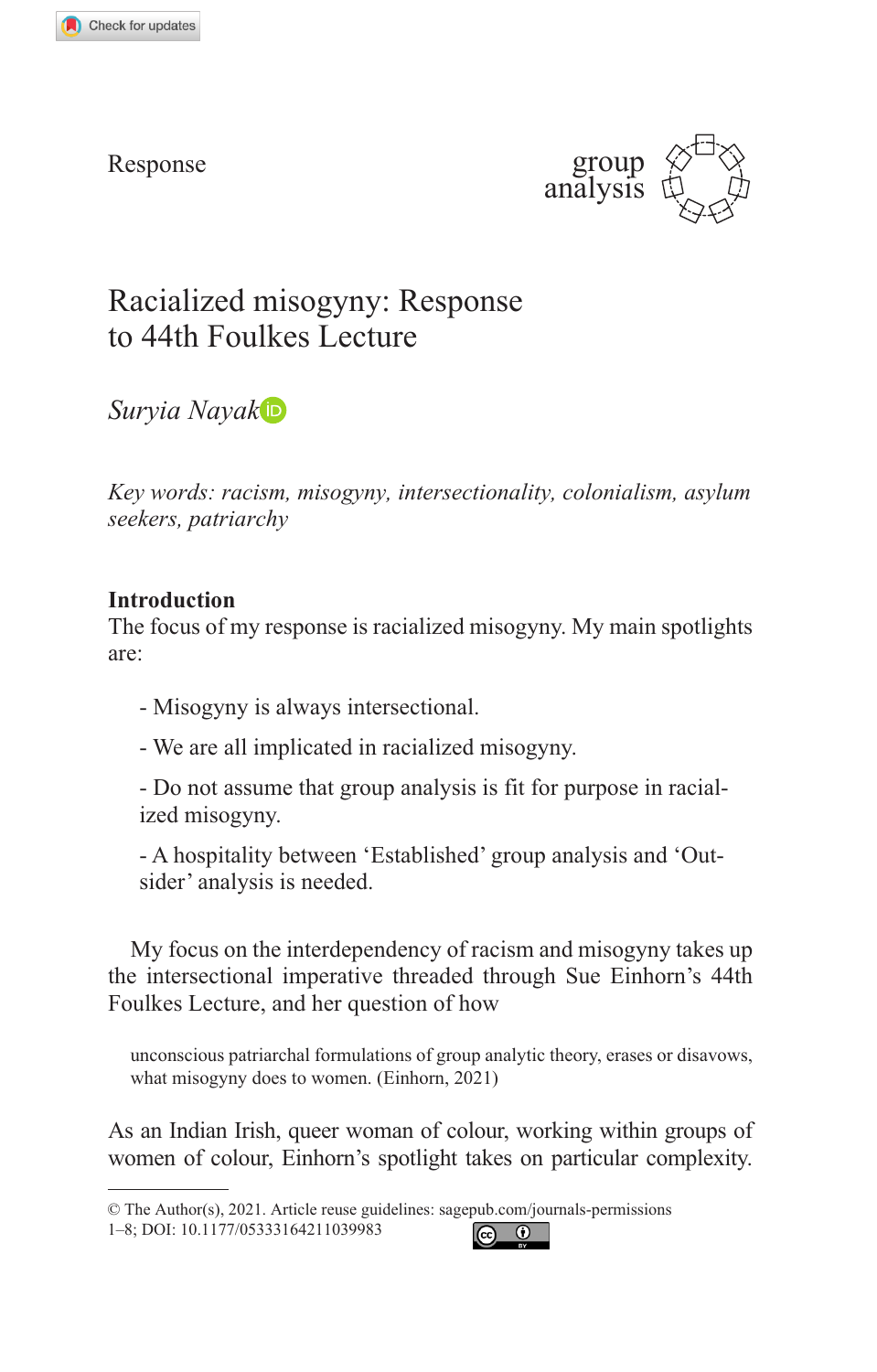Response



# Racialized misogyny: Response to 44th Foulkes Lecture

*Suryia Nayak*

*Key words: racism, misogyny, intersectionality, colonialism, asylum seekers, patriarchy*

# **Introduction**

The focus of my response is racialized misogyny. My main spotlights are:

- Misogyny is always intersectional.
- We are all implicated in racialized misogyny.

- Do not assume that group analysis is fit for purpose in racialized misogyny.

- A hospitality between 'Established' group analysis and 'Outsider' analysis is needed.

My focus on the interdependency of racism and misogyny takes up the intersectional imperative threaded through Sue Einhorn's 44th Foulkes Lecture, and her question of how

unconscious patriarchal formulations of group analytic theory, erases or disavows, what misogyny does to women. (Einhorn, 2021)

As an Indian Irish, queer woman of colour, working within groups of women of colour, Einhorn's spotlight takes on particular complexity.



<sup>©</sup> The Author(s), 2021. Article reuse guidelines: sagepub[.com/journals-permissions](https://uk.sagepub.com/en-gb/journals-permission)

<sup>1-8;</sup> DOI: 10.1177/05333164211039983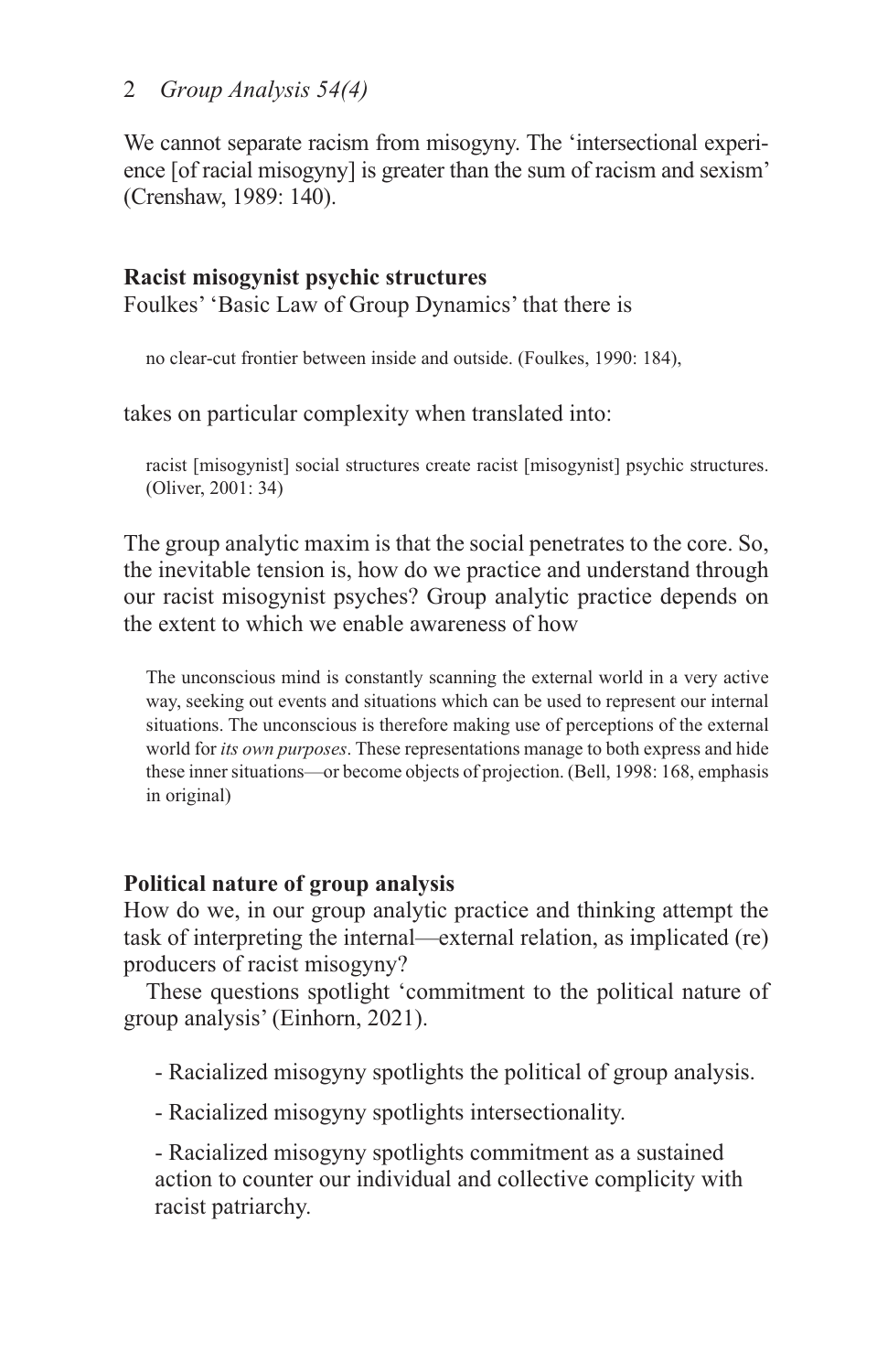# 2 *Group Analysis 54(4)*

We cannot separate racism from misogyny. The 'intersectional experience [of racial misogyny] is greater than the sum of racism and sexism' (Crenshaw, 1989: 140).

# **Racist misogynist psychic structures**

Foulkes' 'Basic Law of Group Dynamics' that there is

no clear-cut frontier between inside and outside. (Foulkes, 1990: 184),

takes on particular complexity when translated into:

racist [misogynist] social structures create racist [misogynist] psychic structures. (Oliver, 2001: 34)

The group analytic maxim is that the social penetrates to the core. So, the inevitable tension is, how do we practice and understand through our racist misogynist psyches? Group analytic practice depends on the extent to which we enable awareness of how

The unconscious mind is constantly scanning the external world in a very active way, seeking out events and situations which can be used to represent our internal situations. The unconscious is therefore making use of perceptions of the external world for *its own purposes*. These representations manage to both express and hide these inner situations—or become objects of projection. (Bell, 1998: 168, emphasis in original)

# **Political nature of group analysis**

How do we, in our group analytic practice and thinking attempt the task of interpreting the internal—external relation, as implicated (re) producers of racist misogyny?

These questions spotlight 'commitment to the political nature of group analysis' (Einhorn, 2021).

- Racialized misogyny spotlights the political of group analysis.

- Racialized misogyny spotlights intersectionality.

- Racialized misogyny spotlights commitment as a sustained action to counter our individual and collective complicity with racist patriarchy.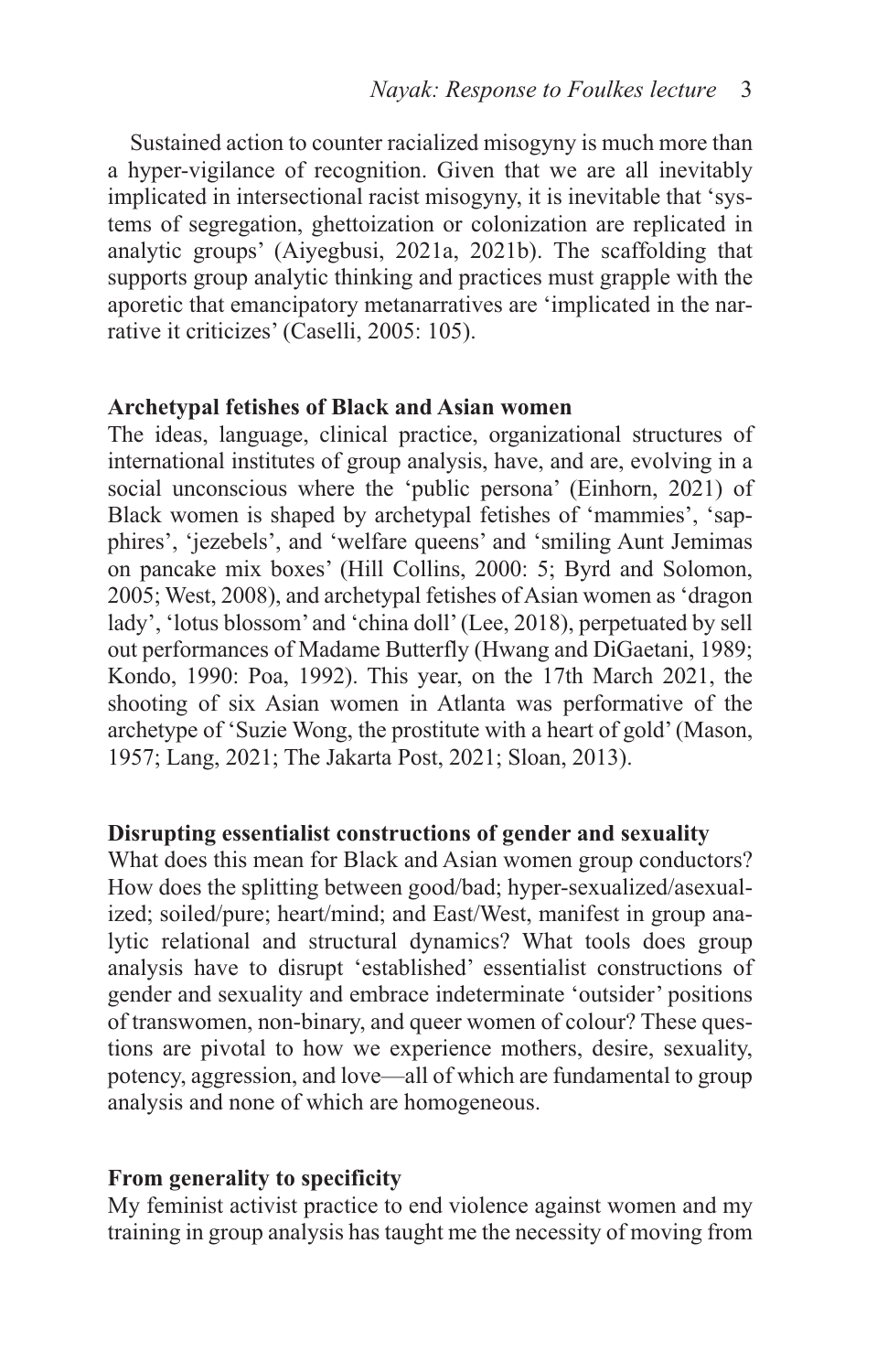Sustained action to counter racialized misogyny is much more than a hyper-vigilance of recognition. Given that we are all inevitably implicated in intersectional racist misogyny, it is inevitable that 'systems of segregation, ghettoization or colonization are replicated in analytic groups' (Aiyegbusi, 2021a, 2021b). The scaffolding that supports group analytic thinking and practices must grapple with the aporetic that emancipatory metanarratives are 'implicated in the narrative it criticizes' (Caselli, 2005: 105).

#### **Archetypal fetishes of Black and Asian women**

The ideas, language, clinical practice, organizational structures of international institutes of group analysis, have, and are, evolving in a social unconscious where the 'public persona' (Einhorn, 2021) of Black women is shaped by archetypal fetishes of 'mammies', 'sapphires', 'jezebels', and 'welfare queens' and 'smiling Aunt Jemimas on pancake mix boxes' (Hill Collins, 2000: 5; Byrd and Solomon, 2005; West, 2008), and archetypal fetishes of Asian women as 'dragon lady', 'lotus blossom' and 'china doll' (Lee, 2018), perpetuated by sell out performances of Madame Butterfly (Hwang and DiGaetani, 1989; Kondo, 1990: Poa, 1992). This year, on the 17th March 2021, the shooting of six Asian women in Atlanta was performative of the archetype of 'Suzie Wong, the prostitute with a heart of gold' (Mason, 1957; Lang, 2021; The Jakarta Post, 2021; Sloan, 2013).

#### **Disrupting essentialist constructions of gender and sexuality**

What does this mean for Black and Asian women group conductors? How does the splitting between good/bad; hyper-sexualized/asexualized; soiled/pure; heart/mind; and East/West, manifest in group analytic relational and structural dynamics? What tools does group analysis have to disrupt 'established' essentialist constructions of gender and sexuality and embrace indeterminate 'outsider' positions of transwomen, non-binary, and queer women of colour? These questions are pivotal to how we experience mothers, desire, sexuality, potency, aggression, and love—all of which are fundamental to group analysis and none of which are homogeneous.

#### **From generality to specificity**

My feminist activist practice to end violence against women and my training in group analysis has taught me the necessity of moving from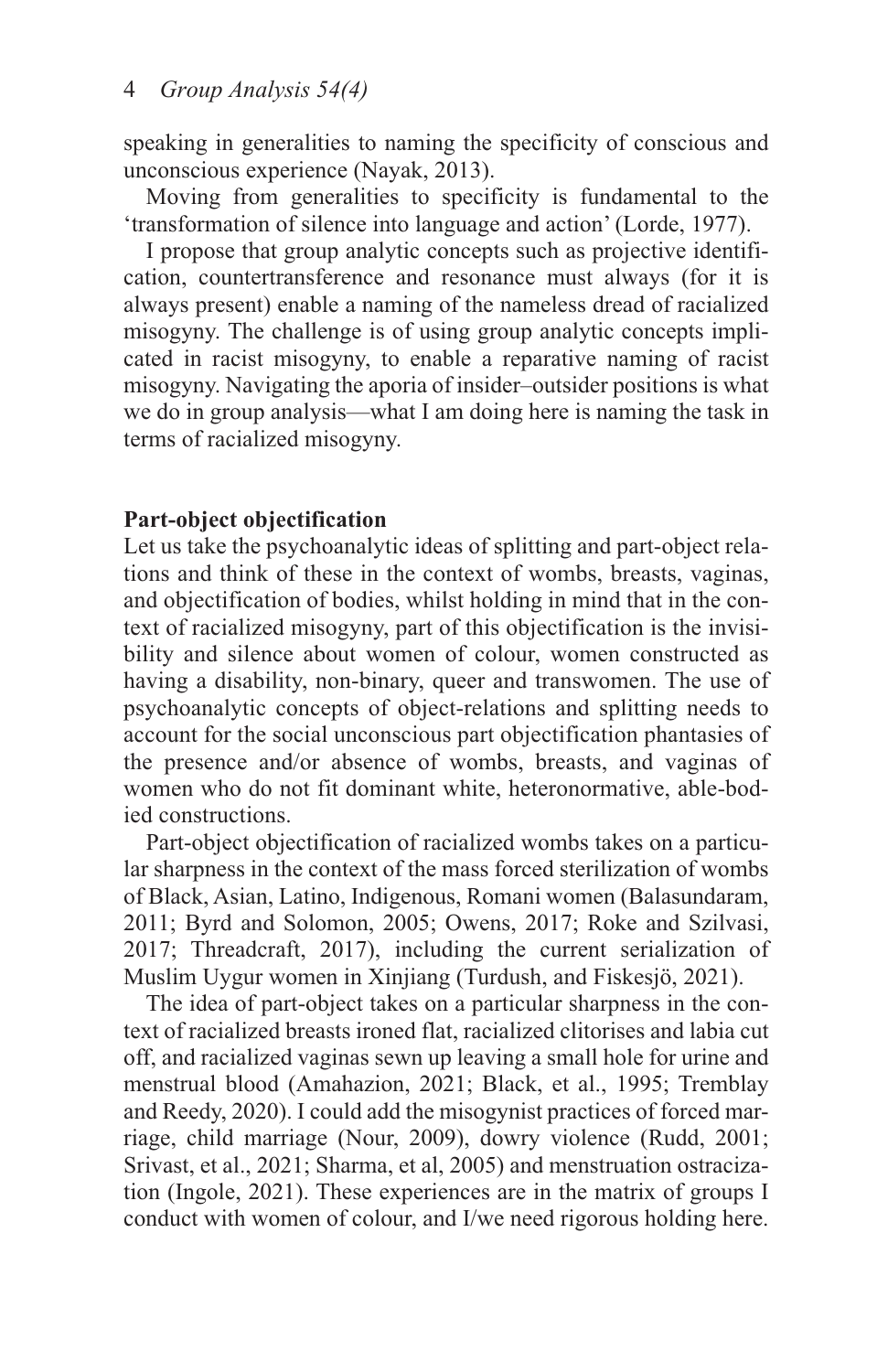speaking in generalities to naming the specificity of conscious and unconscious experience (Nayak, 2013).

Moving from generalities to specificity is fundamental to the 'transformation of silence into language and action' (Lorde, 1977).

I propose that group analytic concepts such as projective identification, countertransference and resonance must always (for it is always present) enable a naming of the nameless dread of racialized misogyny. The challenge is of using group analytic concepts implicated in racist misogyny, to enable a reparative naming of racist misogyny. Navigating the aporia of insider–outsider positions is what we do in group analysis—what I am doing here is naming the task in terms of racialized misogyny.

#### **Part-object objectification**

Let us take the psychoanalytic ideas of splitting and part-object relations and think of these in the context of wombs, breasts, vaginas, and objectification of bodies, whilst holding in mind that in the context of racialized misogyny, part of this objectification is the invisibility and silence about women of colour, women constructed as having a disability, non-binary, queer and transwomen. The use of psychoanalytic concepts of object-relations and splitting needs to account for the social unconscious part objectification phantasies of the presence and/or absence of wombs, breasts, and vaginas of women who do not fit dominant white, heteronormative, able-bodied constructions.

Part-object objectification of racialized wombs takes on a particular sharpness in the context of the mass forced sterilization of wombs of Black, Asian, Latino, Indigenous, Romani women (Balasundaram, 2011; Byrd and Solomon, 2005; Owens, 2017; Roke and Szilvasi, 2017; Threadcraft, 2017), including the current serialization of Muslim Uygur women in Xinjiang (Turdush, and Fiskesjö, 2021).

The idea of part-object takes on a particular sharpness in the context of racialized breasts ironed flat, racialized clitorises and labia cut off, and racialized vaginas sewn up leaving a small hole for urine and menstrual blood (Amahazion, 2021; Black, et al., 1995; Tremblay and Reedy, 2020). I could add the misogynist practices of forced marriage, child marriage (Nour, 2009), dowry violence (Rudd, 2001; Srivast, et al., 2021; Sharma, et al, 2005) and menstruation ostracization (Ingole, 2021). These experiences are in the matrix of groups I conduct with women of colour, and I/we need rigorous holding here.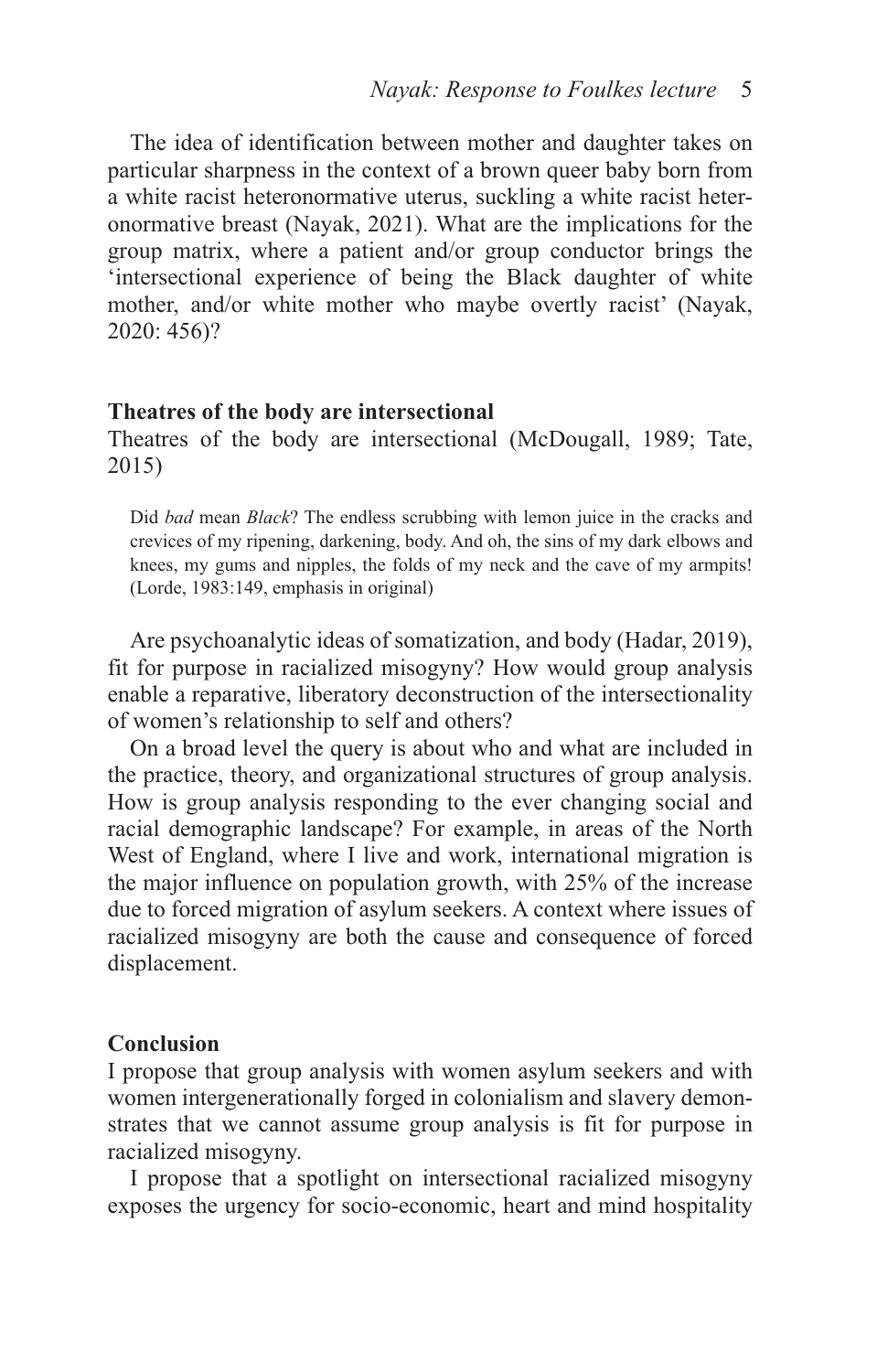The idea of identification between mother and daughter takes on particular sharpness in the context of a brown queer baby born from a white racist heteronormative uterus, suckling a white racist heteronormative breast (Nayak, 2021). What are the implications for the group matrix, where a patient and/or group conductor brings the 'intersectional experience of being the Black daughter of white mother, and/or white mother who maybe overtly racist' (Nayak, 2020: 456)?

#### **Theatres of the body are intersectional**

Theatres of the body are intersectional (McDougall, 1989; Tate, 2015)

Did *bad* mean *Black*? The endless scrubbing with lemon juice in the cracks and crevices of my ripening, darkening, body. And oh, the sins of my dark elbows and knees, my gums and nipples, the folds of my neck and the cave of my armpits! (Lorde, 1983:149, emphasis in original)

Are psychoanalytic ideas of somatization, and body (Hadar, 2019), fit for purpose in racialized misogyny? How would group analysis enable a reparative, liberatory deconstruction of the intersectionality of women's relationship to self and others?

On a broad level the query is about who and what are included in the practice, theory, and organizational structures of group analysis. How is group analysis responding to the ever changing social and racial demographic landscape? For example, in areas of the North West of England, where I live and work, international migration is the major influence on population growth, with 25% of the increase due to forced migration of asylum seekers. A context where issues of racialized misogyny are both the cause and consequence of forced displacement.

#### **Conclusion**

I propose that group analysis with women asylum seekers and with women intergenerationally forged in colonialism and slavery demonstrates that we cannot assume group analysis is fit for purpose in racialized misogyny.

I propose that a spotlight on intersectional racialized misogyny exposes the urgency for socio-economic, heart and mind hospitality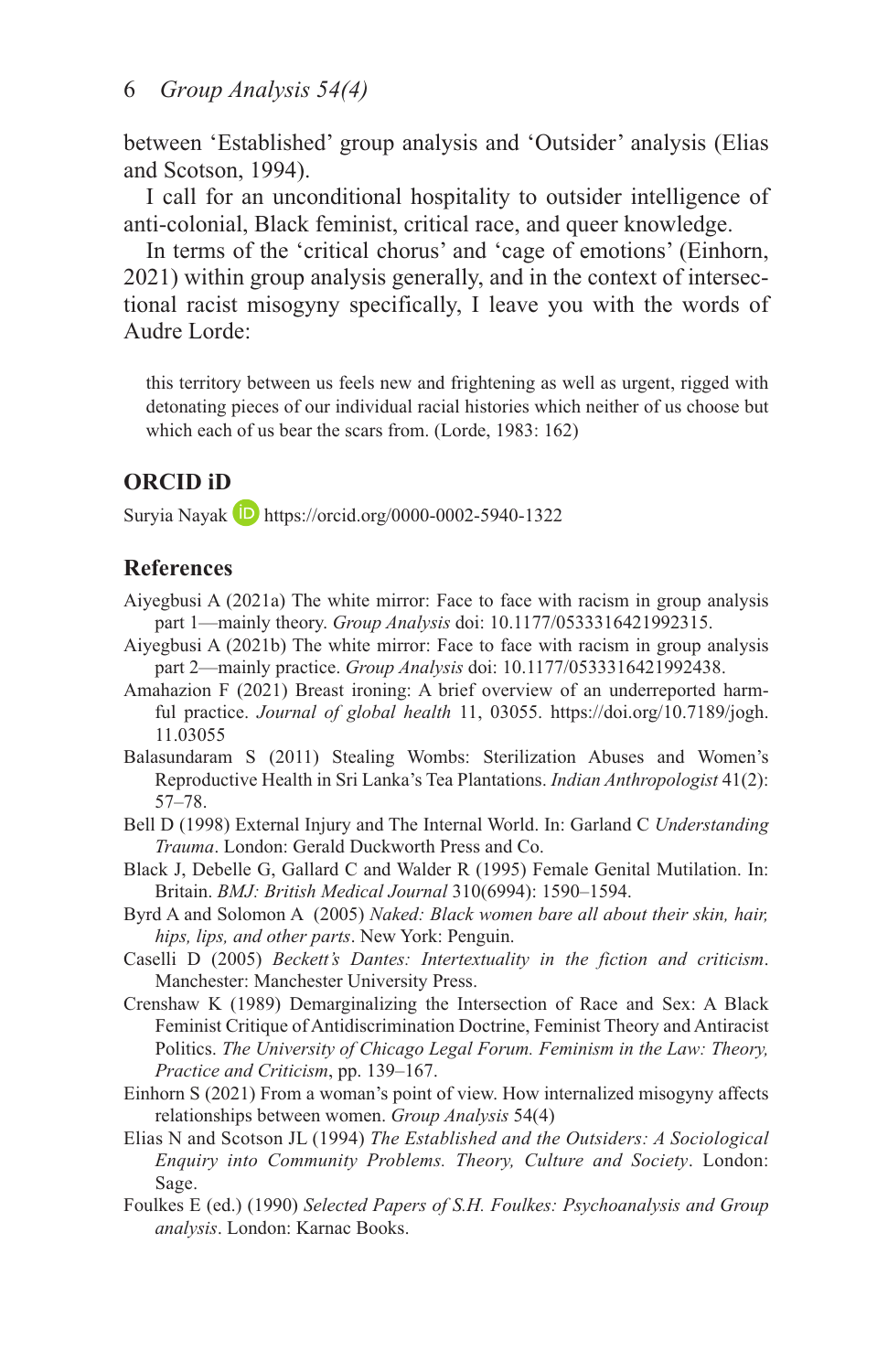between 'Established' group analysis and 'Outsider' analysis (Elias and Scotson, 1994).

I call for an unconditional hospitality to outsider intelligence of anti-colonial, Black feminist, critical race, and queer knowledge.

In terms of the 'critical chorus' and 'cage of emotions' (Einhorn, 2021) within group analysis generally, and in the context of intersectional racist misogyny specifically, I leave you with the words of Audre Lorde:

this territory between us feels new and frightening as well as urgent, rigged with detonating pieces of our individual racial histories which neither of us choose but which each of us bear the scars from. (Lorde, 1983: 162)

# **ORCID iD**

Suryia Nayak  $\Box$  <https://orcid.org/0000-0002-5940-1322>

## **References**

- Aiyegbusi A (2021a) The white mirror: Face to face with racism in group analysis part 1—mainly theory. *Group Analysis* doi: 10.1177/0533316421992315.
- Aiyegbusi A (2021b) The white mirror: Face to face with racism in group analysis part 2—mainly practice. *Group Analysis* doi: 10.1177/0533316421992438.
- Amahazion F (2021) Breast ironing: A brief overview of an underreported harmful practice. *Journal of global health* 11, 03055. [https://doi.org/10.7189/jogh.](https://doi.org/10.7189/jogh.11.03055) [11.03055](https://doi.org/10.7189/jogh.11.03055)
- Balasundaram S (2011) Stealing Wombs: Sterilization Abuses and Women's Reproductive Health in Sri Lanka's Tea Plantations. *Indian Anthropologist* 41(2): 57–78.
- Bell D (1998) External Injury and The Internal World. In: Garland C *Understanding Trauma*. London: Gerald Duckworth Press and Co.
- Black J, Debelle G, Gallard C and Walder R (1995) Female Genital Mutilation. In: Britain. *BMJ: British Medical Journal* 310(6994): 1590–1594.
- Byrd A and Solomon A (2005) *Naked: Black women bare all about their skin, hair, hips, lips, and other parts*. New York: Penguin.
- Caselli D (2005) *Beckett's Dantes: Intertextuality in the fiction and criticism*. Manchester: Manchester University Press.
- Crenshaw K (1989) Demarginalizing the Intersection of Race and Sex: A Black Feminist Critique of Antidiscrimination Doctrine, Feminist Theory and Antiracist Politics. *The University of Chicago Legal Forum. Feminism in the Law: Theory, Practice and Criticism*, pp. 139–167.
- Einhorn S (2021) From a woman's point of view. How internalized misogyny affects relationships between women. *Group Analysis* 54(4)
- Elias N and Scotson JL (1994) *The Established and the Outsiders: A Sociological Enquiry into Community Problems. Theory, Culture and Society*. London: Sage.
- Foulkes E (ed.) (1990) *Selected Papers of S.H. Foulkes: Psychoanalysis and Group analysis*. London: Karnac Books.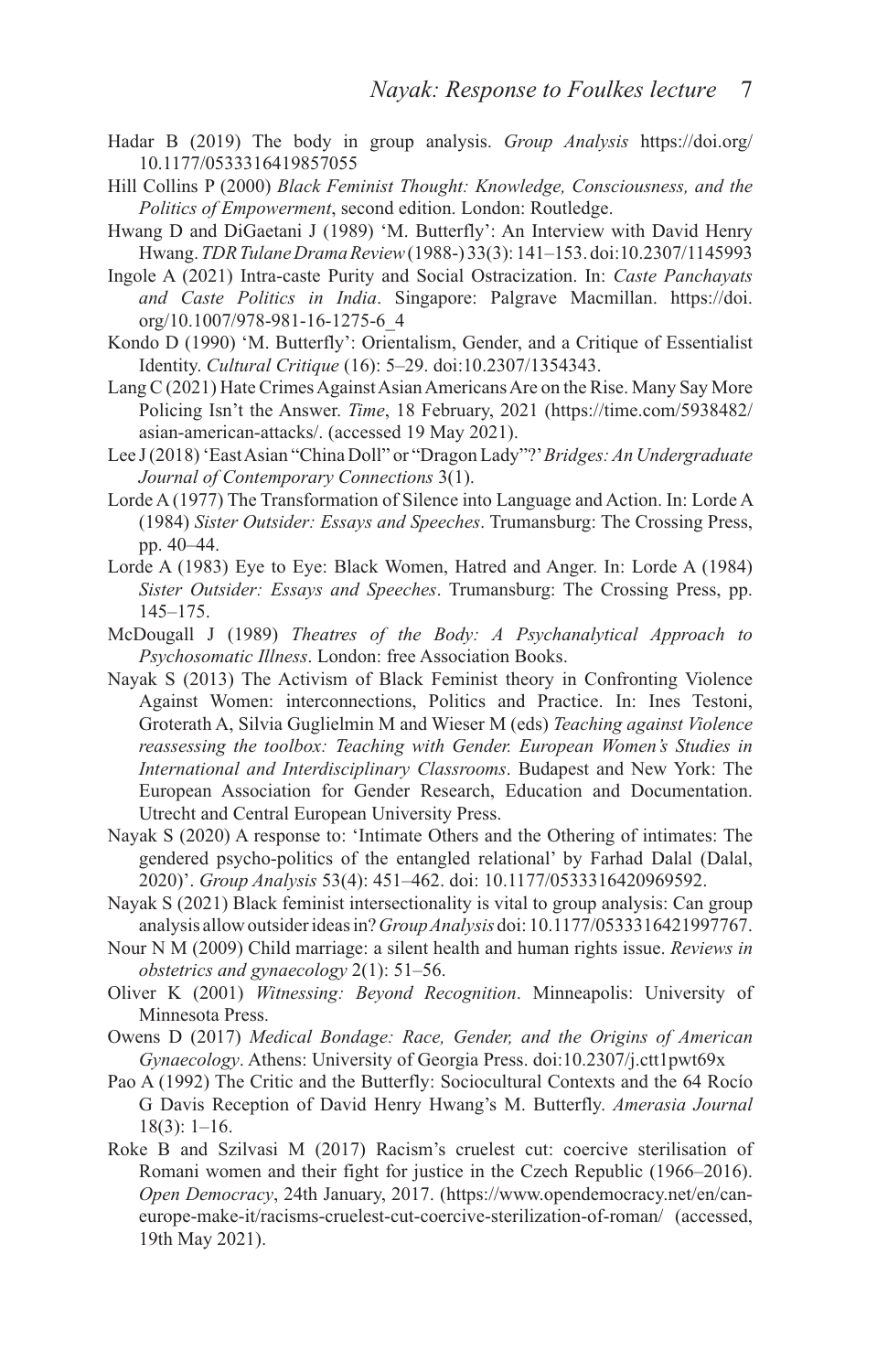- Hadar B (2019) The body in group analysis. *Group Analysis* [https://doi.org/](https://doi.org/10.1177/0533316419857055) [10.1177/0533316419857055](https://doi.org/10.1177/0533316419857055)
- Hill Collins P (2000) *Black Feminist Thought: Knowledge, Consciousness, and the Politics of Empowerment*, second edition. London: Routledge.
- Hwang D and DiGaetani J (1989) 'M. Butterfly': An Interview with David Henry Hwang. *TDR Tulane Drama Review* (1988-) 33(3): 141–153. doi:10.2307/1145993
- Ingole A (2021) Intra-caste Purity and Social Ostracization. In: *Caste Panchayats and Caste Politics in India*. Singapore: Palgrave Macmillan. [https://doi.](https://doi.org/10.1007/978-981-16-1275-6_4) [org/10.1007/978-981-16-1275-6\\_4](https://doi.org/10.1007/978-981-16-1275-6_4)
- Kondo D (1990) 'M. Butterfly': Orientalism, Gender, and a Critique of Essentialist Identity. *Cultural Critique* (16): 5–29. doi:10.2307/1354343.
- Lang C (2021) Hate Crimes Against Asian Americans Are on the Rise. Many Say More Policing Isn't the Answer. *Time*, 18 February, 2021 [\(https://time.com/5938482/](https://time.com/5938482/asian-american-attacks/) [asian-american-attacks/](https://time.com/5938482/asian-american-attacks/). (accessed 19 May 2021).
- Lee J (2018) 'East Asian "China Doll" or "Dragon Lady"?' *Bridges: An Undergraduate Journal of Contemporary Connections* 3(1).
- Lorde A (1977) The Transformation of Silence into Language and Action. In: Lorde A (1984) *Sister Outsider: Essays and Speeches*. Trumansburg: The Crossing Press, pp. 40–44.
- Lorde A (1983) Eye to Eye: Black Women, Hatred and Anger. In: Lorde A (1984) *Sister Outsider: Essays and Speeches*. Trumansburg: The Crossing Press, pp. 145–175.
- McDougall J (1989) *Theatres of the Body: A Psychanalytical Approach to Psychosomatic Illness*. London: free Association Books.
- Nayak S (2013) The Activism of Black Feminist theory in Confronting Violence Against Women: interconnections, Politics and Practice. In: Ines Testoni, Groterath A, Silvia Guglielmin M and Wieser M (eds) *Teaching against Violence reassessing the toolbox: Teaching with Gender. European Women's Studies in International and Interdisciplinary Classrooms*. Budapest and New York: The European Association for Gender Research, Education and Documentation. Utrecht and Central European University Press.
- Nayak S (2020) A response to: 'Intimate Others and the Othering of intimates: The gendered psycho-politics of the entangled relational' by Farhad Dalal (Dalal, 2020)'. *Group Analysis* 53(4): 451–462. doi: 10.1177/0533316420969592.
- Nayak S (2021) Black feminist intersectionality is vital to group analysis: Can group analysis allow outsider ideas in? *Group Analysis* doi: 10.1177/0533316421997767.
- Nour N M (2009) Child marriage: a silent health and human rights issue. *Reviews in obstetrics and gynaecology* 2(1): 51–56.
- Oliver K (2001) *Witnessing: Beyond Recognition*. Minneapolis: University of Minnesota Press.
- Owens D (2017) *Medical Bondage: Race, Gender, and the Origins of American Gynaecology*. Athens: University of Georgia Press. doi:10.2307/j.ctt1pwt69x
- Pao A (1992) The Critic and the Butterfly: Sociocultural Contexts and the 64 Rocío G Davis Reception of David Henry Hwang's M. Butterfly. *Amerasia Journal* 18(3): 1–16.
- Roke B and Szilvasi M (2017) Racism's cruelest cut: coercive sterilisation of Romani women and their fight for justice in the Czech Republic (1966–2016). *Open Democracy*, 24th January, 2017. [\(https://www.opendemocracy.net/en/can](https://www.opendemocracy.net/en/can-europe-make-it/racisms-cruelest-cut-coercive-sterilization-of-roman/)[europe-make-it/racisms-cruelest-cut-coercive-sterilization-of-roman/](https://www.opendemocracy.net/en/can-europe-make-it/racisms-cruelest-cut-coercive-sterilization-of-roman/) (accessed, 19th May 2021).